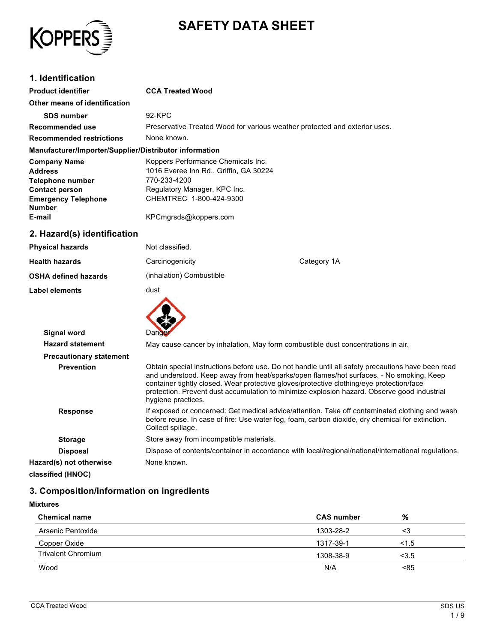

# **SAFETY DATA SHEET**

### **1. Identification**

| <b>Product identifier</b>                              | <b>CCA Treated Wood</b>                                                    |  |
|--------------------------------------------------------|----------------------------------------------------------------------------|--|
| Other means of identification                          |                                                                            |  |
| <b>SDS number</b>                                      | 92-KPC                                                                     |  |
| Recommended use                                        | Preservative Treated Wood for various weather protected and exterior uses. |  |
| <b>Recommended restrictions</b>                        | None known.                                                                |  |
| Manufacturer/Importer/Supplier/Distributor information |                                                                            |  |
| <b>Company Name</b>                                    | Koppers Performance Chemicals Inc.                                         |  |
| <b>Address</b>                                         | 1016 Everee Inn Rd., Griffin, GA 30224                                     |  |
| Telephone number                                       | 770-233-4200                                                               |  |
| <b>Contact person</b>                                  | Regulatory Manager, KPC Inc.                                               |  |
| <b>Emergency Telephone</b>                             | CHEMTREC 1-800-424-9300                                                    |  |
| <b>Number</b>                                          |                                                                            |  |
| E-mail                                                 | KPCmgrsds@koppers.com                                                      |  |
|                                                        |                                                                            |  |

#### **2. Hazard(s) identification**

| <b>Physical hazards</b>     | Not classified.          |             |
|-----------------------------|--------------------------|-------------|
| <b>Health hazards</b>       | Carcinogenicity          | Category 1A |
| <b>OSHA defined hazards</b> | (inhalation) Combustible |             |
| <b>Label elements</b>       | dust                     |             |
|                             |                          |             |

| <b>Signal word</b>             | Dande                                                                                                                                                                                                                                                                                                                                                                                                         |  |  |
|--------------------------------|---------------------------------------------------------------------------------------------------------------------------------------------------------------------------------------------------------------------------------------------------------------------------------------------------------------------------------------------------------------------------------------------------------------|--|--|
| <b>Hazard statement</b>        | May cause cancer by inhalation. May form combustible dust concentrations in air.                                                                                                                                                                                                                                                                                                                              |  |  |
| <b>Precautionary statement</b> |                                                                                                                                                                                                                                                                                                                                                                                                               |  |  |
| <b>Prevention</b>              | Obtain special instructions before use. Do not handle until all safety precautions have been read<br>and understood. Keep away from heat/sparks/open flames/hot surfaces. - No smoking. Keep<br>container tightly closed. Wear protective gloves/protective clothing/eye protection/face<br>protection. Prevent dust accumulation to minimize explosion hazard. Observe good industrial<br>hygiene practices. |  |  |
| <b>Response</b>                | If exposed or concerned: Get medical advice/attention. Take off contaminated clothing and wash<br>before reuse. In case of fire: Use water fog, foam, carbon dioxide, dry chemical for extinction.<br>Collect spillage.                                                                                                                                                                                       |  |  |
| <b>Storage</b>                 | Store away from incompatible materials.                                                                                                                                                                                                                                                                                                                                                                       |  |  |
| <b>Disposal</b>                | Dispose of contents/container in accordance with local/regional/national/international regulations.                                                                                                                                                                                                                                                                                                           |  |  |
| Hazard(s) not otherwise        | None known.                                                                                                                                                                                                                                                                                                                                                                                                   |  |  |
| classified (HNOC)              |                                                                                                                                                                                                                                                                                                                                                                                                               |  |  |

### **3. Composition/information on ingredients**

| <b>Chemical name</b>      | <b>CAS number</b> | %     |
|---------------------------|-------------------|-------|
| Arsenic Pentoxide         | 1303-28-2         | <∴    |
| Copper Oxide              | 1317-39-1         | 1.5   |
| <b>Trivalent Chromium</b> | 1308-38-9         | < 3.5 |
| Wood                      | N/A               | < 85  |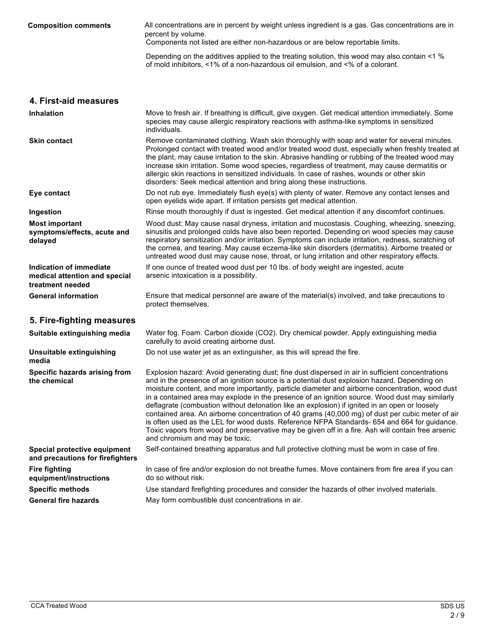| <b>Composition comments</b>                                                  | All concentrations are in percent by weight unless ingredient is a gas. Gas concentrations are in<br>percent by volume.<br>Components not listed are either non-hazardous or are below reportable limits.                                                                                                                                                                                                                                                                                                                                                                                                                                                                                                                                                                                                                                         |  |  |
|------------------------------------------------------------------------------|---------------------------------------------------------------------------------------------------------------------------------------------------------------------------------------------------------------------------------------------------------------------------------------------------------------------------------------------------------------------------------------------------------------------------------------------------------------------------------------------------------------------------------------------------------------------------------------------------------------------------------------------------------------------------------------------------------------------------------------------------------------------------------------------------------------------------------------------------|--|--|
|                                                                              | Depending on the additives applied to the treating solution, this wood may also contain <1 %<br>of mold inhibitors, <1% of a non-hazardous oil emulsion, and <% of a colorant.                                                                                                                                                                                                                                                                                                                                                                                                                                                                                                                                                                                                                                                                    |  |  |
| 4. First-aid measures                                                        |                                                                                                                                                                                                                                                                                                                                                                                                                                                                                                                                                                                                                                                                                                                                                                                                                                                   |  |  |
| <b>Inhalation</b>                                                            | Move to fresh air. If breathing is difficult, give oxygen. Get medical attention immediately. Some<br>species may cause allergic respiratory reactions with asthma-like symptoms in sensitized<br>individuals.                                                                                                                                                                                                                                                                                                                                                                                                                                                                                                                                                                                                                                    |  |  |
| <b>Skin contact</b>                                                          | Remove contaminated clothing. Wash skin thoroughly with soap and water for several minutes.<br>Prolonged contact with treated wood and/or treated wood dust, especially when freshly treated at<br>the plant, may cause irritation to the skin. Abrasive handling or rubbing of the treated wood may<br>increase skin irritation. Some wood species, regardless of treatment, may cause dermatitis or<br>allergic skin reactions in sensitized individuals. In case of rashes, wounds or other skin<br>disorders: Seek medical attention and bring along these instructions.                                                                                                                                                                                                                                                                      |  |  |
| Eye contact                                                                  | Do not rub eye. Immediately flush eye(s) with plenty of water. Remove any contact lenses and<br>open eyelids wide apart. If irritation persists get medical attention.                                                                                                                                                                                                                                                                                                                                                                                                                                                                                                                                                                                                                                                                            |  |  |
| Ingestion                                                                    | Rinse mouth thoroughly if dust is ingested. Get medical attention if any discomfort continues.                                                                                                                                                                                                                                                                                                                                                                                                                                                                                                                                                                                                                                                                                                                                                    |  |  |
| <b>Most important</b><br>symptoms/effects, acute and<br>delayed              | Wood dust: May cause nasal dryness, irritation and mucostasis. Coughing, wheezing, sneezing,<br>sinusitis and prolonged colds have also been reported. Depending on wood species may cause<br>respiratory sensitization and/or irritation. Symptoms can include irritation, redness, scratching of<br>the cornea, and tearing. May cause eczema-like skin disorders (dermatitis). Airborne treated or<br>untreated wood dust may cause nose, throat, or lung irritation and other respiratory effects.                                                                                                                                                                                                                                                                                                                                            |  |  |
| Indication of immediate<br>medical attention and special<br>treatment needed | If one ounce of treated wood dust per 10 lbs. of body weight are ingested, acute<br>arsenic intoxication is a possibility.                                                                                                                                                                                                                                                                                                                                                                                                                                                                                                                                                                                                                                                                                                                        |  |  |
| <b>General information</b>                                                   | Ensure that medical personnel are aware of the material(s) involved, and take precautions to<br>protect themselves.                                                                                                                                                                                                                                                                                                                                                                                                                                                                                                                                                                                                                                                                                                                               |  |  |
| 5. Fire-fighting measures                                                    |                                                                                                                                                                                                                                                                                                                                                                                                                                                                                                                                                                                                                                                                                                                                                                                                                                                   |  |  |
| Suitable extinguishing media                                                 | Water fog. Foam. Carbon dioxide (CO2). Dry chemical powder. Apply extinguishing media<br>carefully to avoid creating airborne dust.                                                                                                                                                                                                                                                                                                                                                                                                                                                                                                                                                                                                                                                                                                               |  |  |
| Unsuitable extinguishing<br>media                                            | Do not use water jet as an extinguisher, as this will spread the fire.                                                                                                                                                                                                                                                                                                                                                                                                                                                                                                                                                                                                                                                                                                                                                                            |  |  |
| Specific hazards arising from<br>the chemical                                | Explosion hazard: Avoid generating dust; fine dust dispersed in air in sufficient concentrations<br>and in the presence of an ignition source is a potential dust explosion hazard. Depending on<br>moisture content, and more importantly, particle diameter and airborne concentration, wood dust<br>in a contained area may explode in the presence of an ignition source. Wood dust may similarly<br>deflagrate (combustion without detonation like an explosion) if ignited in an open or loosely<br>contained area. An airborne concentration of 40 grams (40,000 mg) of dust per cubic meter of air<br>is often used as the LEL for wood dusts. Reference NFPA Standards- 654 and 664 for guidance.<br>Toxic vapors from wood and preservative may be given off in a fire. Ash will contain free arsenic<br>and chromium and may be toxic. |  |  |
| Special protective equipment<br>and precautions for firefighters             | Self-contained breathing apparatus and full protective clothing must be worn in case of fire.                                                                                                                                                                                                                                                                                                                                                                                                                                                                                                                                                                                                                                                                                                                                                     |  |  |
| <b>Fire fighting</b><br>equipment/instructions                               | In case of fire and/or explosion do not breathe fumes. Move containers from fire area if you can<br>do so without risk.                                                                                                                                                                                                                                                                                                                                                                                                                                                                                                                                                                                                                                                                                                                           |  |  |
| <b>Specific methods</b>                                                      | Use standard firefighting procedures and consider the hazards of other involved materials.                                                                                                                                                                                                                                                                                                                                                                                                                                                                                                                                                                                                                                                                                                                                                        |  |  |
| <b>General fire hazards</b>                                                  | May form combustible dust concentrations in air.                                                                                                                                                                                                                                                                                                                                                                                                                                                                                                                                                                                                                                                                                                                                                                                                  |  |  |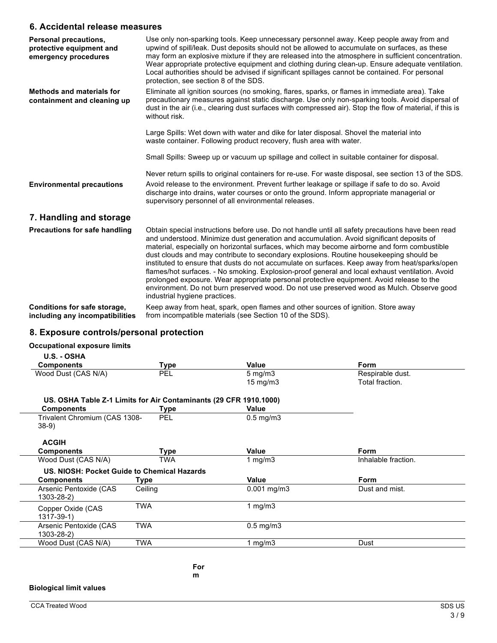#### **6. Accidental release measures**

| Personal precautions,<br>protective equipment and<br>emergency procedures | Use only non-sparking tools. Keep unnecessary personnel away. Keep people away from and<br>upwind of spill/leak. Dust deposits should not be allowed to accumulate on surfaces, as these<br>may form an explosive mixture if they are released into the atmosphere in sufficient concentration.<br>Wear appropriate protective equipment and clothing during clean-up. Ensure adequate ventilation.<br>Local authorities should be advised if significant spillages cannot be contained. For personal<br>protection, see section 8 of the SDS.                                                                                                                                                                                                                                                                        |
|---------------------------------------------------------------------------|-----------------------------------------------------------------------------------------------------------------------------------------------------------------------------------------------------------------------------------------------------------------------------------------------------------------------------------------------------------------------------------------------------------------------------------------------------------------------------------------------------------------------------------------------------------------------------------------------------------------------------------------------------------------------------------------------------------------------------------------------------------------------------------------------------------------------|
| <b>Methods and materials for</b><br>containment and cleaning up           | Eliminate all ignition sources (no smoking, flares, sparks, or flames in immediate area). Take<br>precautionary measures against static discharge. Use only non-sparking tools. Avoid dispersal of<br>dust in the air (i.e., clearing dust surfaces with compressed air). Stop the flow of material, if this is<br>without risk.                                                                                                                                                                                                                                                                                                                                                                                                                                                                                      |
|                                                                           | Large Spills: Wet down with water and dike for later disposal. Shovel the material into<br>waste container. Following product recovery, flush area with water.                                                                                                                                                                                                                                                                                                                                                                                                                                                                                                                                                                                                                                                        |
|                                                                           | Small Spills: Sweep up or vacuum up spillage and collect in suitable container for disposal.                                                                                                                                                                                                                                                                                                                                                                                                                                                                                                                                                                                                                                                                                                                          |
|                                                                           | Never return spills to original containers for re-use. For waste disposal, see section 13 of the SDS.                                                                                                                                                                                                                                                                                                                                                                                                                                                                                                                                                                                                                                                                                                                 |
| <b>Environmental precautions</b>                                          | Avoid release to the environment. Prevent further leakage or spillage if safe to do so. Avoid<br>discharge into drains, water courses or onto the ground. Inform appropriate managerial or<br>supervisory personnel of all environmental releases.                                                                                                                                                                                                                                                                                                                                                                                                                                                                                                                                                                    |
| 7. Handling and storage                                                   |                                                                                                                                                                                                                                                                                                                                                                                                                                                                                                                                                                                                                                                                                                                                                                                                                       |
| Precautions for safe handling                                             | Obtain special instructions before use. Do not handle until all safety precautions have been read<br>and understood. Minimize dust generation and accumulation. Avoid significant deposits of<br>material, especially on horizontal surfaces, which may become airborne and form combustible<br>dust clouds and may contribute to secondary explosions. Routine housekeeping should be<br>instituted to ensure that dusts do not accumulate on surfaces. Keep away from heat/sparks/open<br>flames/hot surfaces. - No smoking. Explosion-proof general and local exhaust ventilation. Avoid<br>prolonged exposure. Wear appropriate personal protective equipment. Avoid release to the<br>environment. Do not burn preserved wood. Do not use preserved wood as Mulch. Observe good<br>industrial hygiene practices. |
| Conditions for safe storage,<br>including any incompatibilities           | Keep away from heat, spark, open flames and other sources of ignition. Store away<br>from incompatible materials (see Section 10 of the SDS).                                                                                                                                                                                                                                                                                                                                                                                                                                                                                                                                                                                                                                                                         |

### **8. Exposure controls/personal protection**

#### **Occupational exposure limits**

**U.S. - OSHA**

| <b>Components</b>                          | Type                                                              | Value                | <b>Form</b>         |  |
|--------------------------------------------|-------------------------------------------------------------------|----------------------|---------------------|--|
| Wood Dust (CAS N/A)                        | PEL                                                               | $5 \text{ mg/m}$     | Respirable dust.    |  |
|                                            |                                                                   | $15 \text{ mg/m}$    | Total fraction.     |  |
|                                            | US. OSHA Table Z-1 Limits for Air Contaminants (29 CFR 1910.1000) |                      |                     |  |
| <b>Components</b>                          | Type                                                              | Value                |                     |  |
| Trivalent Chromium (CAS 1308-              | <b>PEL</b>                                                        | $0.5 \text{ mg/m}$ 3 |                     |  |
| $38-9)$                                    |                                                                   |                      |                     |  |
| <b>ACGIH</b>                               |                                                                   |                      |                     |  |
| <b>Components</b>                          | Type                                                              | Value                | Form                |  |
| Wood Dust (CAS N/A)                        | TWA                                                               | 1 $mq/m3$            | Inhalable fraction. |  |
|                                            | US. NIOSH: Pocket Guide to Chemical Hazards                       |                      |                     |  |
| <b>Components</b>                          | Type                                                              | Value                | Form                |  |
| Arsenic Pentoxide (CAS<br>1303-28-2)       | Ceiling                                                           | $0.001$ mg/m $3$     | Dust and mist.      |  |
| Copper Oxide (CAS                          | <b>TWA</b>                                                        | 1 mg/m $3$           |                     |  |
| $1317 - 39 - 1$                            |                                                                   |                      |                     |  |
| Arsenic Pentoxide (CAS<br>$1303 - 28 - 2)$ | <b>TWA</b>                                                        | $0.5 \text{ mg/m}$ 3 |                     |  |
| Wood Dust (CAS N/A)                        | TWA                                                               | 1 $mq/m3$            | Dust                |  |
|                                            |                                                                   |                      |                     |  |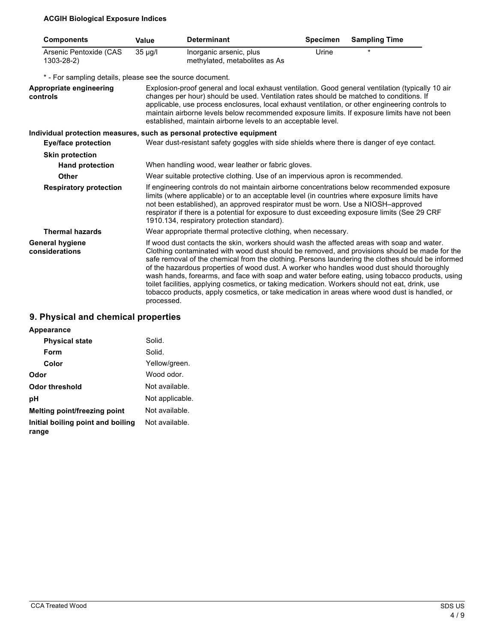### **ACGIH Biological Exposure Indices**

| <b>Components</b>                                         | Value      | <b>Determinant</b>                                                                                                                                                                                                                                                                                                                                                                                                                                                                                                                                                                                                                                                                                     | <b>Specimen</b> | <b>Sampling Time</b> |
|-----------------------------------------------------------|------------|--------------------------------------------------------------------------------------------------------------------------------------------------------------------------------------------------------------------------------------------------------------------------------------------------------------------------------------------------------------------------------------------------------------------------------------------------------------------------------------------------------------------------------------------------------------------------------------------------------------------------------------------------------------------------------------------------------|-----------------|----------------------|
| Arsenic Pentoxide (CAS<br>1303-28-2)                      | 35 µg/l    | Inorganic arsenic, plus<br>methylated, metabolites as As                                                                                                                                                                                                                                                                                                                                                                                                                                                                                                                                                                                                                                               | Urine           |                      |
| * - For sampling details, please see the source document. |            |                                                                                                                                                                                                                                                                                                                                                                                                                                                                                                                                                                                                                                                                                                        |                 |                      |
| Appropriate engineering<br>controls                       |            | Explosion-proof general and local exhaust ventilation. Good general ventilation (typically 10 air<br>changes per hour) should be used. Ventilation rates should be matched to conditions. If<br>applicable, use process enclosures, local exhaust ventilation, or other engineering controls to<br>maintain airborne levels below recommended exposure limits. If exposure limits have not been<br>established, maintain airborne levels to an acceptable level.                                                                                                                                                                                                                                       |                 |                      |
|                                                           |            | Individual protection measures, such as personal protective equipment                                                                                                                                                                                                                                                                                                                                                                                                                                                                                                                                                                                                                                  |                 |                      |
| <b>Eye/face protection</b>                                |            | Wear dust-resistant safety goggles with side shields where there is danger of eye contact.                                                                                                                                                                                                                                                                                                                                                                                                                                                                                                                                                                                                             |                 |                      |
| <b>Skin protection</b>                                    |            |                                                                                                                                                                                                                                                                                                                                                                                                                                                                                                                                                                                                                                                                                                        |                 |                      |
| <b>Hand protection</b>                                    |            | When handling wood, wear leather or fabric gloves.                                                                                                                                                                                                                                                                                                                                                                                                                                                                                                                                                                                                                                                     |                 |                      |
| Other                                                     |            | Wear suitable protective clothing. Use of an impervious apron is recommended.                                                                                                                                                                                                                                                                                                                                                                                                                                                                                                                                                                                                                          |                 |                      |
| <b>Respiratory protection</b>                             |            | If engineering controls do not maintain airborne concentrations below recommended exposure<br>limits (where applicable) or to an acceptable level (in countries where exposure limits have<br>not been established), an approved respirator must be worn. Use a NIOSH-approved<br>respirator if there is a potential for exposure to dust exceeding exposure limits (See 29 CRF<br>1910.134, respiratory protection standard).                                                                                                                                                                                                                                                                         |                 |                      |
| <b>Thermal hazards</b>                                    |            | Wear appropriate thermal protective clothing, when necessary.                                                                                                                                                                                                                                                                                                                                                                                                                                                                                                                                                                                                                                          |                 |                      |
| <b>General hygiene</b><br>considerations                  | processed. | If wood dust contacts the skin, workers should wash the affected areas with soap and water.<br>Clothing contaminated with wood dust should be removed, and provisions should be made for the<br>safe removal of the chemical from the clothing. Persons laundering the clothes should be informed<br>of the hazardous properties of wood dust. A worker who handles wood dust should thoroughly<br>wash hands, forearms, and face with soap and water before eating, using tobacco products, using<br>toilet facilities, applying cosmetics, or taking medication. Workers should not eat, drink, use<br>tobacco products, apply cosmetics, or take medication in areas where wood dust is handled, or |                 |                      |

## **9. Physical and chemical properties**

| Appearance                                 |                 |
|--------------------------------------------|-----------------|
| <b>Physical state</b>                      | Solid.          |
| Form                                       | Solid.          |
| Color                                      | Yellow/green.   |
| Odor                                       | Wood odor.      |
| Odor threshold                             | Not available.  |
| рH                                         | Not applicable. |
| Melting point/freezing point               | Not available.  |
| Initial boiling point and boiling<br>range | Not available.  |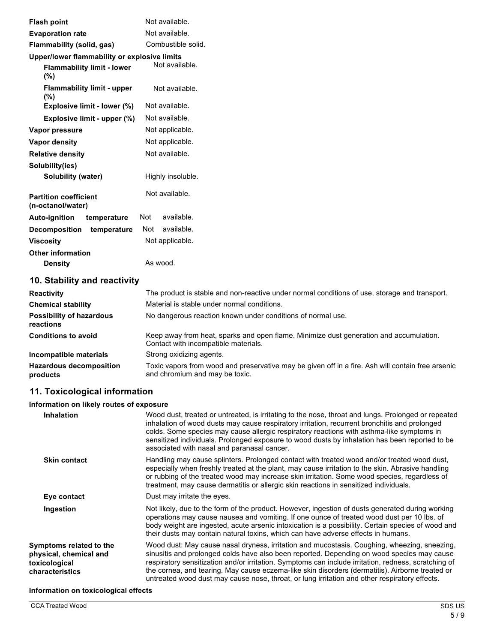| <b>Flash point</b>                                | Not available.                                                                                |
|---------------------------------------------------|-----------------------------------------------------------------------------------------------|
| <b>Evaporation rate</b>                           | Not available.                                                                                |
| Flammability (solid, gas)                         | Combustible solid.                                                                            |
| Upper/lower flammability or explosive limits      |                                                                                               |
| <b>Flammability limit - lower</b><br>(%)          | Not available.                                                                                |
| <b>Flammability limit - upper</b><br>(%)          | Not available.                                                                                |
| Explosive limit - lower (%)                       | Not available.                                                                                |
| Explosive limit - upper (%)                       | Not available.                                                                                |
| Vapor pressure                                    | Not applicable.                                                                               |
| Vapor density                                     | Not applicable.                                                                               |
| <b>Relative density</b>                           | Not available.                                                                                |
| Solubility(ies)                                   |                                                                                               |
| Solubility (water)                                | Highly insoluble.                                                                             |
| <b>Partition coefficient</b><br>(n-octanol/water) | Not available.                                                                                |
| <b>Auto-ignition</b><br>temperature               | available.<br>Not                                                                             |
| <b>Decomposition</b><br>temperature               | available.<br>Not                                                                             |
| <b>Viscosity</b>                                  | Not applicable.                                                                               |
| <b>Other information</b>                          |                                                                                               |
| <b>Density</b>                                    | As wood.                                                                                      |
| 10. Stability and reactivity                      |                                                                                               |
| <b>Reactivity</b>                                 | The product is stable and non-reactive under normal conditions of use, storage and transport. |

| <b>Chemical stability</b>                    | Material is stable under normal conditions.                                                                                         |
|----------------------------------------------|-------------------------------------------------------------------------------------------------------------------------------------|
| <b>Possibility of hazardous</b><br>reactions | No dangerous reaction known under conditions of normal use.                                                                         |
| <b>Conditions to avoid</b>                   | Keep away from heat, sparks and open flame. Minimize dust generation and accumulation.<br>Contact with incompatible materials.      |
| Incompatible materials                       | Strong oxidizing agents.                                                                                                            |
| <b>Hazardous decomposition</b><br>products   | Toxic vapors from wood and preservative may be given off in a fire. Ash will contain free arsenic<br>and chromium and may be toxic. |

### **11. Toxicological information**

#### **Information on likely routes of exposure**

| <b>Inhalation</b>                                                                     | Wood dust, treated or untreated, is irritating to the nose, throat and lungs. Prolonged or repeated<br>inhalation of wood dusts may cause respiratory irritation, recurrent bronchitis and prolonged<br>colds. Some species may cause allergic respiratory reactions with asthma-like symptoms in<br>sensitized individuals. Prolonged exposure to wood dusts by inhalation has been reported to be<br>associated with nasal and paranasal cancer.                                                     |
|---------------------------------------------------------------------------------------|--------------------------------------------------------------------------------------------------------------------------------------------------------------------------------------------------------------------------------------------------------------------------------------------------------------------------------------------------------------------------------------------------------------------------------------------------------------------------------------------------------|
| <b>Skin contact</b>                                                                   | Handling may cause splinters. Prolonged contact with treated wood and/or treated wood dust,<br>especially when freshly treated at the plant, may cause irritation to the skin. Abrasive handling<br>or rubbing of the treated wood may increase skin irritation. Some wood species, regardless of<br>treatment, may cause dermatitis or allergic skin reactions in sensitized individuals.                                                                                                             |
| Eye contact                                                                           | Dust may irritate the eyes.                                                                                                                                                                                                                                                                                                                                                                                                                                                                            |
| Ingestion                                                                             | Not likely, due to the form of the product. However, ingestion of dusts generated during working<br>operations may cause nausea and vomiting. If one ounce of treated wood dust per 10 lbs. of<br>body weight are ingested, acute arsenic intoxication is a possibility. Certain species of wood and<br>their dusts may contain natural toxins, which can have adverse effects in humans.                                                                                                              |
| Symptoms related to the<br>physical, chemical and<br>toxicological<br>characteristics | Wood dust: May cause nasal dryness, irritation and mucostasis. Coughing, wheezing, sneezing,<br>sinusitis and prolonged colds have also been reported. Depending on wood species may cause<br>respiratory sensitization and/or irritation. Symptoms can include irritation, redness, scratching of<br>the cornea, and tearing. May cause eczema-like skin disorders (dermatitis). Airborne treated or<br>untreated wood dust may cause nose, throat, or lung irritation and other respiratory effects. |
| Information on toxicological effects                                                  |                                                                                                                                                                                                                                                                                                                                                                                                                                                                                                        |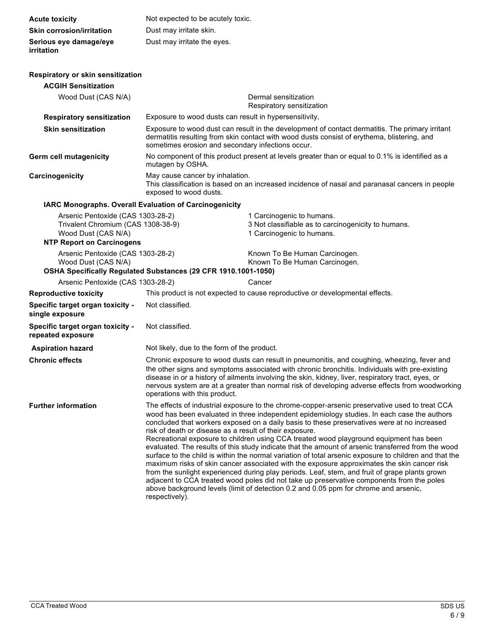| <b>Acute toxicity</b>                                                                                                              | Not expected to be acutely toxic.                                                                                                                                                                                                                                                                                                                                                                                                                                                                                                                                                                                                                                                                                                                                                                                                                                                                                                                                                                                                                                         |                                                                                                                                                                                                |  |  |
|------------------------------------------------------------------------------------------------------------------------------------|---------------------------------------------------------------------------------------------------------------------------------------------------------------------------------------------------------------------------------------------------------------------------------------------------------------------------------------------------------------------------------------------------------------------------------------------------------------------------------------------------------------------------------------------------------------------------------------------------------------------------------------------------------------------------------------------------------------------------------------------------------------------------------------------------------------------------------------------------------------------------------------------------------------------------------------------------------------------------------------------------------------------------------------------------------------------------|------------------------------------------------------------------------------------------------------------------------------------------------------------------------------------------------|--|--|
| <b>Skin corrosion/irritation</b>                                                                                                   | Dust may irritate skin.                                                                                                                                                                                                                                                                                                                                                                                                                                                                                                                                                                                                                                                                                                                                                                                                                                                                                                                                                                                                                                                   |                                                                                                                                                                                                |  |  |
| Serious eye damage/eye<br>irritation                                                                                               | Dust may irritate the eyes.                                                                                                                                                                                                                                                                                                                                                                                                                                                                                                                                                                                                                                                                                                                                                                                                                                                                                                                                                                                                                                               |                                                                                                                                                                                                |  |  |
| <b>Respiratory or skin sensitization</b>                                                                                           |                                                                                                                                                                                                                                                                                                                                                                                                                                                                                                                                                                                                                                                                                                                                                                                                                                                                                                                                                                                                                                                                           |                                                                                                                                                                                                |  |  |
| <b>ACGIH Sensitization</b>                                                                                                         |                                                                                                                                                                                                                                                                                                                                                                                                                                                                                                                                                                                                                                                                                                                                                                                                                                                                                                                                                                                                                                                                           |                                                                                                                                                                                                |  |  |
| Wood Dust (CAS N/A)                                                                                                                |                                                                                                                                                                                                                                                                                                                                                                                                                                                                                                                                                                                                                                                                                                                                                                                                                                                                                                                                                                                                                                                                           | Dermal sensitization<br>Respiratory sensitization                                                                                                                                              |  |  |
| <b>Respiratory sensitization</b>                                                                                                   | Exposure to wood dusts can result in hypersensitivity,                                                                                                                                                                                                                                                                                                                                                                                                                                                                                                                                                                                                                                                                                                                                                                                                                                                                                                                                                                                                                    |                                                                                                                                                                                                |  |  |
| <b>Skin sensitization</b>                                                                                                          | sometimes erosion and secondary infections occur.                                                                                                                                                                                                                                                                                                                                                                                                                                                                                                                                                                                                                                                                                                                                                                                                                                                                                                                                                                                                                         | Exposure to wood dust can result in the development of contact dermatitis. The primary irritant<br>dermatitis resulting from skin contact with wood dusts consist of erythema, blistering, and |  |  |
| Germ cell mutagenicity                                                                                                             | No component of this product present at levels greater than or equal to 0.1% is identified as a<br>mutagen by OSHA.                                                                                                                                                                                                                                                                                                                                                                                                                                                                                                                                                                                                                                                                                                                                                                                                                                                                                                                                                       |                                                                                                                                                                                                |  |  |
| Carcinogenicity                                                                                                                    | May cause cancer by inhalation.<br>exposed to wood dusts.                                                                                                                                                                                                                                                                                                                                                                                                                                                                                                                                                                                                                                                                                                                                                                                                                                                                                                                                                                                                                 | This classification is based on an increased incidence of nasal and paranasal cancers in people                                                                                                |  |  |
|                                                                                                                                    | <b>IARC Monographs. Overall Evaluation of Carcinogenicity</b>                                                                                                                                                                                                                                                                                                                                                                                                                                                                                                                                                                                                                                                                                                                                                                                                                                                                                                                                                                                                             |                                                                                                                                                                                                |  |  |
| Arsenic Pentoxide (CAS 1303-28-2)<br>Trivalent Chromium (CAS 1308-38-9)<br>Wood Dust (CAS N/A)<br><b>NTP Report on Carcinogens</b> |                                                                                                                                                                                                                                                                                                                                                                                                                                                                                                                                                                                                                                                                                                                                                                                                                                                                                                                                                                                                                                                                           | 1 Carcinogenic to humans.<br>3 Not classifiable as to carcinogenicity to humans.<br>1 Carcinogenic to humans.                                                                                  |  |  |
| Arsenic Pentoxide (CAS 1303-28-2)<br>Wood Dust (CAS N/A)                                                                           | OSHA Specifically Regulated Substances (29 CFR 1910.1001-1050)                                                                                                                                                                                                                                                                                                                                                                                                                                                                                                                                                                                                                                                                                                                                                                                                                                                                                                                                                                                                            | Known To Be Human Carcinogen.<br>Known To Be Human Carcinogen.                                                                                                                                 |  |  |
| Arsenic Pentoxide (CAS 1303-28-2)                                                                                                  |                                                                                                                                                                                                                                                                                                                                                                                                                                                                                                                                                                                                                                                                                                                                                                                                                                                                                                                                                                                                                                                                           | Cancer                                                                                                                                                                                         |  |  |
| <b>Reproductive toxicity</b>                                                                                                       |                                                                                                                                                                                                                                                                                                                                                                                                                                                                                                                                                                                                                                                                                                                                                                                                                                                                                                                                                                                                                                                                           | This product is not expected to cause reproductive or developmental effects.                                                                                                                   |  |  |
| Specific target organ toxicity -<br>single exposure                                                                                | Not classified.                                                                                                                                                                                                                                                                                                                                                                                                                                                                                                                                                                                                                                                                                                                                                                                                                                                                                                                                                                                                                                                           |                                                                                                                                                                                                |  |  |
| Specific target organ toxicity -<br>repeated exposure                                                                              | Not classified.                                                                                                                                                                                                                                                                                                                                                                                                                                                                                                                                                                                                                                                                                                                                                                                                                                                                                                                                                                                                                                                           |                                                                                                                                                                                                |  |  |
| <b>Aspiration hazard</b>                                                                                                           | Not likely, due to the form of the product.                                                                                                                                                                                                                                                                                                                                                                                                                                                                                                                                                                                                                                                                                                                                                                                                                                                                                                                                                                                                                               |                                                                                                                                                                                                |  |  |
| <b>Chronic effects</b>                                                                                                             | Chronic exposure to wood dusts can result in pneumonitis, and coughing, wheezing, fever and<br>the other signs and symptoms associated with chronic bronchitis. Individuals with pre-existing<br>disease in or a history of ailments involving the skin, kidney, liver, respiratory tract, eyes, or<br>nervous system are at a greater than normal risk of developing adverse effects from woodworking<br>operations with this product.                                                                                                                                                                                                                                                                                                                                                                                                                                                                                                                                                                                                                                   |                                                                                                                                                                                                |  |  |
| <b>Further information</b>                                                                                                         | The effects of industrial exposure to the chrome-copper-arsenic preservative used to treat CCA<br>wood has been evaluated in three independent epidemiology studies. In each case the authors<br>concluded that workers exposed on a daily basis to these preservatives were at no increased<br>risk of death or disease as a result of their exposure.<br>Recreational exposure to children using CCA treated wood playground equipment has been<br>evaluated. The results of this study indicate that the amount of arsenic transferred from the wood<br>surface to the child is within the normal variation of total arsenic exposure to children and that the<br>maximum risks of skin cancer associated with the exposure approximates the skin cancer risk<br>from the sunlight experienced during play periods. Leaf, stem, and fruit of grape plants grown<br>adjacent to CCA treated wood poles did not take up preservative components from the poles<br>above background levels (limit of detection 0.2 and 0.05 ppm for chrome and arsenic,<br>respectively). |                                                                                                                                                                                                |  |  |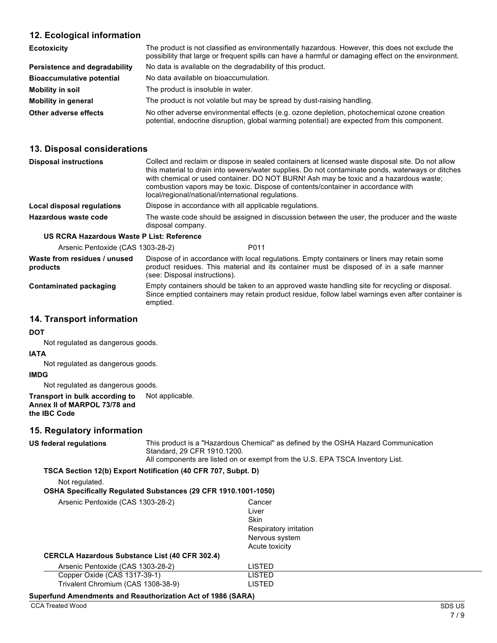### **12. Ecological information**

| <b>Ecotoxicity</b>               | The product is not classified as environmentally hazardous. However, this does not exclude the<br>possibility that large or frequent spills can have a harmful or damaging effect on the environment. |
|----------------------------------|-------------------------------------------------------------------------------------------------------------------------------------------------------------------------------------------------------|
| Persistence and degradability    | No data is available on the degradability of this product.                                                                                                                                            |
| <b>Bioaccumulative potential</b> | No data available on bioaccumulation.                                                                                                                                                                 |
| Mobility in soil                 | The product is insoluble in water.                                                                                                                                                                    |
| <b>Mobility in general</b>       | The product is not volatile but may be spread by dust-raising handling.                                                                                                                               |
| Other adverse effects            | No other adverse environmental effects (e.g. ozone depletion, photochemical ozone creation<br>potential, endocrine disruption, global warming potential) are expected from this component.            |

### **13. Disposal considerations**

| <b>Disposal instructions</b>                     | Collect and reclaim or dispose in sealed containers at licensed waste disposal site. Do not allow<br>this material to drain into sewers/water supplies. Do not contaminate ponds, waterways or ditches<br>with chemical or used container. DO NOT BURN! Ash may be toxic and a hazardous waste;<br>combustion vapors may be toxic. Dispose of contents/container in accordance with<br>local/regional/national/international regulations. |
|--------------------------------------------------|-------------------------------------------------------------------------------------------------------------------------------------------------------------------------------------------------------------------------------------------------------------------------------------------------------------------------------------------------------------------------------------------------------------------------------------------|
| Local disposal regulations                       | Dispose in accordance with all applicable regulations.                                                                                                                                                                                                                                                                                                                                                                                    |
| Hazardous waste code                             | The waste code should be assigned in discussion between the user, the producer and the waste<br>disposal company.                                                                                                                                                                                                                                                                                                                         |
| <b>US RCRA Hazardous Waste P List: Reference</b> |                                                                                                                                                                                                                                                                                                                                                                                                                                           |

#### **urdous Waste P List: Reference**

| Arsenic Pentoxide (CAS 1303-28-2) | P011 |
|-----------------------------------|------|
|-----------------------------------|------|

**Waste from residues / unused products** Dispose of in accordance with local regulations. Empty containers or liners may retain some product residues. This material and its container must be disposed of in a safe manner (see: Disposal instructions).

**Contaminated packaging** Empty containers should be taken to an approved waste handling site for recycling or disposal. Since emptied containers may retain product residue, follow label warnings even after container is emptied.

#### **14. Transport information**

#### **DOT**

Not regulated as dangerous goods.

#### **IATA**

Not regulated as dangerous goods.

#### **IMDG**

Not regulated as dangerous goods.

#### **Transport in bulk according to Annex II of MARPOL 73/78 and the IBC Code** Not applicable.

#### **15. Regulatory information**

| <b>US federal regulations</b>                                      |                                                                       | This product is a "Hazardous Chemical" as defined by the OSHA Hazard Communication<br>Standard, 29 CFR 1910, 1200.<br>All components are listed on or exempt from the U.S. EPA TSCA Inventory List. |  |  |  |
|--------------------------------------------------------------------|-----------------------------------------------------------------------|-----------------------------------------------------------------------------------------------------------------------------------------------------------------------------------------------------|--|--|--|
|                                                                    | TSCA Section 12(b) Export Notification (40 CFR 707, Subpt. D)         |                                                                                                                                                                                                     |  |  |  |
| Not regulated.                                                     |                                                                       |                                                                                                                                                                                                     |  |  |  |
|                                                                    | <b>OSHA Specifically Requiated Substances (29 CFR 1910.1001-1050)</b> |                                                                                                                                                                                                     |  |  |  |
| Arsenic Pentoxide (CAS 1303-28-2)                                  |                                                                       | Cancer<br>Liver<br><b>Skin</b><br>Respiratory irritation<br>Nervous system<br>Acute toxicity                                                                                                        |  |  |  |
|                                                                    | <b>CERCLA Hazardous Substance List (40 CFR 302.4)</b>                 |                                                                                                                                                                                                     |  |  |  |
| Arsenic Pentoxide (CAS 1303-28-2)                                  |                                                                       | LISTED                                                                                                                                                                                              |  |  |  |
| Copper Oxide (CAS 1317-39-1)<br>Trivalent Chromium (CAS 1308-38-9) |                                                                       | LISTED<br><b>LISTED</b>                                                                                                                                                                             |  |  |  |
| Superfund Amendments and Reauthorization Act of 1986 (SARA)        |                                                                       |                                                                                                                                                                                                     |  |  |  |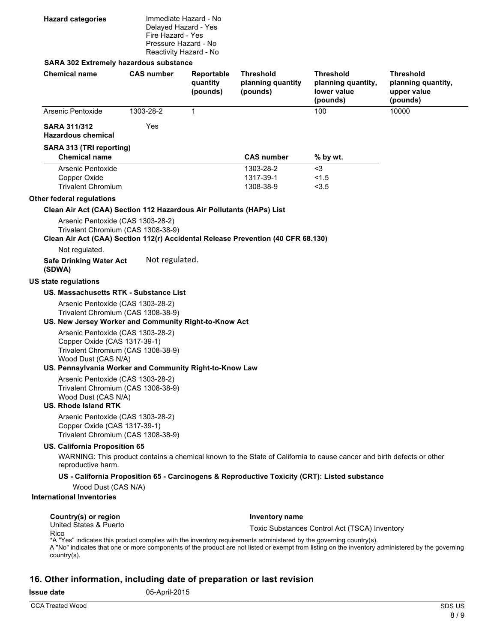| <b>Hazard categories</b> | Immediate Hazard - No                     |
|--------------------------|-------------------------------------------|
|                          | Delayed Hazard - Yes<br>Fire Hazard - Yes |
|                          | Pressure Hazard - No                      |
|                          | Reactivity Hazard - No                    |

#### **SARA 302 Extremely hazardous substance**

| <b>Chemical name</b>                                                                                                                                                                                            | <b>CAS number</b> | Reportable<br>quantity<br>(pounds) | <b>Threshold</b><br>planning quantity<br>(pounds) | <b>Threshold</b><br>planning quantity,<br>lower value<br>(pounds)                                                     | <b>Threshold</b><br>planning quantity,<br>upper value<br>(pounds) |  |
|-----------------------------------------------------------------------------------------------------------------------------------------------------------------------------------------------------------------|-------------------|------------------------------------|---------------------------------------------------|-----------------------------------------------------------------------------------------------------------------------|-------------------------------------------------------------------|--|
| Arsenic Pentoxide                                                                                                                                                                                               | 1303-28-2         | 1                                  |                                                   | 100                                                                                                                   | 10000                                                             |  |
| <b>SARA 311/312</b><br><b>Hazardous chemical</b>                                                                                                                                                                | Yes               |                                    |                                                   |                                                                                                                       |                                                                   |  |
| SARA 313 (TRI reporting)<br><b>Chemical name</b>                                                                                                                                                                |                   |                                    | <b>CAS number</b>                                 | % by wt.                                                                                                              |                                                                   |  |
| Arsenic Pentoxide<br>Copper Oxide<br><b>Trivalent Chromium</b>                                                                                                                                                  |                   |                                    | 1303-28-2<br>1317-39-1<br>1308-38-9               | $3$<br>< 1.5<br>< 3.5                                                                                                 |                                                                   |  |
| Other federal regulations                                                                                                                                                                                       |                   |                                    |                                                   |                                                                                                                       |                                                                   |  |
| Clean Air Act (CAA) Section 112 Hazardous Air Pollutants (HAPs) List                                                                                                                                            |                   |                                    |                                                   |                                                                                                                       |                                                                   |  |
| Arsenic Pentoxide (CAS 1303-28-2)<br>Trivalent Chromium (CAS 1308-38-9)<br>Clean Air Act (CAA) Section 112(r) Accidental Release Prevention (40 CFR 68.130)<br>Not regulated.<br><b>Safe Drinking Water Act</b> | Not regulated.    |                                    |                                                   |                                                                                                                       |                                                                   |  |
| (SDWA)                                                                                                                                                                                                          |                   |                                    |                                                   |                                                                                                                       |                                                                   |  |
| US state regulations                                                                                                                                                                                            |                   |                                    |                                                   |                                                                                                                       |                                                                   |  |
| US. Massachusetts RTK - Substance List                                                                                                                                                                          |                   |                                    |                                                   |                                                                                                                       |                                                                   |  |
| Arsenic Pentoxide (CAS 1303-28-2)<br>Trivalent Chromium (CAS 1308-38-9)<br>US. New Jersey Worker and Community Right-to-Know Act                                                                                |                   |                                    |                                                   |                                                                                                                       |                                                                   |  |
| Arsenic Pentoxide (CAS 1303-28-2)<br>Copper Oxide (CAS 1317-39-1)<br>Trivalent Chromium (CAS 1308-38-9)<br>Wood Dust (CAS N/A)                                                                                  |                   |                                    |                                                   |                                                                                                                       |                                                                   |  |
| US. Pennsylvania Worker and Community Right-to-Know Law                                                                                                                                                         |                   |                                    |                                                   |                                                                                                                       |                                                                   |  |
| Arsenic Pentoxide (CAS 1303-28-2)<br>Trivalent Chromium (CAS 1308-38-9)<br>Wood Dust (CAS N/A)<br><b>US. Rhode Island RTK</b>                                                                                   |                   |                                    |                                                   |                                                                                                                       |                                                                   |  |
| Arsenic Pentoxide (CAS 1303-28-2)<br>Copper Oxide (CAS 1317-39-1)<br>Trivalent Chromium (CAS 1308-38-9)                                                                                                         |                   |                                    |                                                   |                                                                                                                       |                                                                   |  |
| US. California Proposition 65<br>reproductive harm.                                                                                                                                                             |                   |                                    |                                                   | WARNING: This product contains a chemical known to the State of California to cause cancer and birth defects or other |                                                                   |  |
|                                                                                                                                                                                                                 |                   |                                    |                                                   | US - California Proposition 65 - Carcinogens & Reproductive Toxicity (CRT): Listed substance                          |                                                                   |  |
| Wood Dust (CAS N/A)                                                                                                                                                                                             |                   |                                    |                                                   |                                                                                                                       |                                                                   |  |
| <b>International Inventories</b>                                                                                                                                                                                |                   |                                    |                                                   |                                                                                                                       |                                                                   |  |
| Country(s) or region<br>United States & Puerto                                                                                                                                                                  |                   |                                    | <b>Inventory name</b>                             |                                                                                                                       |                                                                   |  |
| Rico                                                                                                                                                                                                            |                   |                                    |                                                   | Toxic Substances Control Act (TSCA) Inventory                                                                         |                                                                   |  |
|                                                                                                                                                                                                                 |                   |                                    |                                                   |                                                                                                                       |                                                                   |  |

\*A "Yes" indicates this product complies with the inventory requirements administered by the governing country(s).<br>A "No" indicates that one or more components of the product are not listed or exempt from listing on the in country(s).

### **16. Other information, including date of preparation or last revision**

**Issue date** 05-April-2015